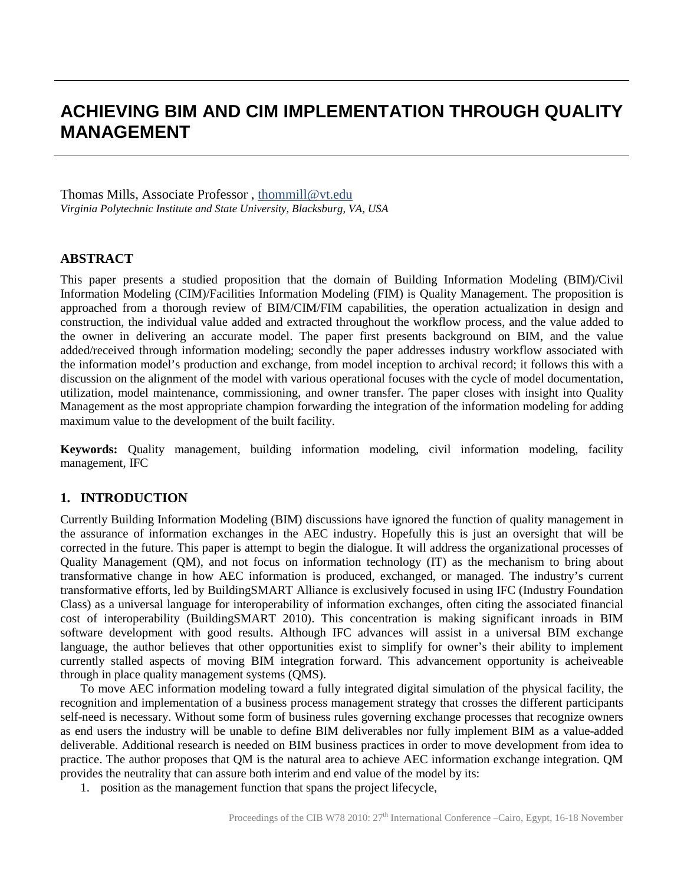# **ACHIEVING BIM AND CIM IMPLEMENTATION THROUGH QUALITY MANAGEMENT**

Thomas Mills, Associate Professor, thommill@vt.edu *Virginia Polytechnic Institute and State University, Blacksburg, VA, USA*

### **ABSTRACT**

This paper presents a studied proposition that the domain of Building Information Modeling (BIM)/Civil Information Modeling (CIM)/Facilities Information Modeling (FIM) is Quality Management. The proposition is approached from a thorough review of BIM/CIM/FIM capabilities, the operation actualization in design and construction, the individual value added and extracted throughout the workflow process, and the value added to the owner in delivering an accurate model. The paper first presents background on BIM, and the value added/received through information modeling; secondly the paper addresses industry workflow associated with the information model's production and exchange, from model inception to archival record; it follows this with a discussion on the alignment of the model with various operational focuses with the cycle of model documentation, utilization, model maintenance, commissioning, and owner transfer. The paper closes with insight into Quality Management as the most appropriate champion forwarding the integration of the information modeling for adding maximum value to the development of the built facility.

**Keywords:** Quality management, building information modeling, civil information modeling, facility management, IFC

## **1. INTRODUCTION**

Currently Building Information Modeling (BIM) discussions have ignored the function of quality management in the assurance of information exchanges in the AEC industry. Hopefully this is just an oversight that will be corrected in the future. This paper is attempt to begin the dialogue. It will address the organizational processes of Quality Management (QM), and not focus on information technology (IT) as the mechanism to bring about transformative change in how AEC information is produced, exchanged, or managed. The industry's current transformative efforts, led by BuildingSMART Alliance is exclusively focused in using IFC (Industry Foundation Class) as a universal language for interoperability of information exchanges, often citing the associated financial cost of interoperability (BuildingSMART 2010). This concentration is making significant inroads in BIM software development with good results. Although IFC advances will assist in a universal BIM exchange language, the author believes that other opportunities exist to simplify for owner's their ability to implement currently stalled aspects of moving BIM integration forward. This advancement opportunity is acheiveable through in place quality management systems (QMS).

To move AEC information modeling toward a fully integrated digital simulation of the physical facility, the recognition and implementation of a business process management strategy that crosses the different participants self-need is necessary. Without some form of business rules governing exchange processes that recognize owners as end users the industry will be unable to define BIM deliverables nor fully implement BIM as a value-added deliverable. Additional research is needed on BIM business practices in order to move development from idea to practice. The author proposes that QM is the natural area to achieve AEC information exchange integration. QM provides the neutrality that can assure both interim and end value of the model by its:

1. position as the management function that spans the project lifecycle,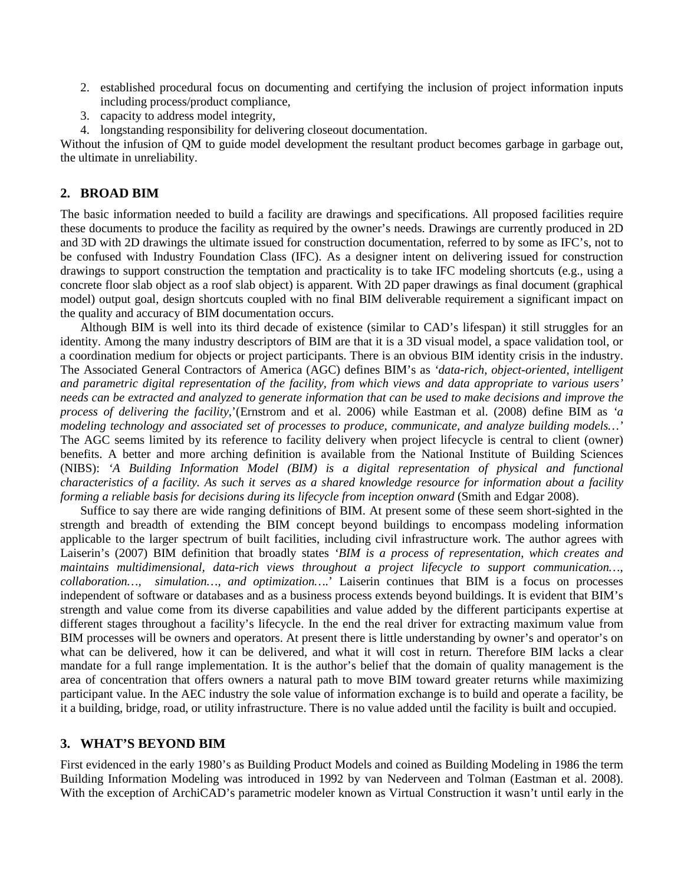- 2. established procedural focus on documenting and certifying the inclusion of project information inputs including process/product compliance,
- 3. capacity to address model integrity,
- 4. longstanding responsibility for delivering closeout documentation.

Without the infusion of QM to guide model development the resultant product becomes garbage in garbage out, the ultimate in unreliability.

## **2. BROAD BIM**

The basic information needed to build a facility are drawings and specifications. All proposed facilities require these documents to produce the facility as required by the owner's needs. Drawings are currently produced in 2D and 3D with 2D drawings the ultimate issued for construction documentation, referred to by some as IFC's, not to be confused with Industry Foundation Class (IFC). As a designer intent on delivering issued for construction drawings to support construction the temptation and practicality is to take IFC modeling shortcuts (e.g., using a concrete floor slab object as a roof slab object) is apparent. With 2D paper drawings as final document (graphical model) output goal, design shortcuts coupled with no final BIM deliverable requirement a significant impact on the quality and accuracy of BIM documentation occurs.

Although BIM is well into its third decade of existence (similar to CAD's lifespan) it still struggles for an identity. Among the many industry descriptors of BIM are that it is a 3D visual model, a space validation tool, or a coordination medium for objects or project participants. There is an obvious BIM identity crisis in the industry. The Associated General Contractors of America (AGC) defines BIM's as *'data-rich, object-oriented, intelligent and parametric digital representation of the facility, from which views and data appropriate to various users' needs can be extracted and analyzed to generate information that can be used to make decisions and improve the process of delivering the facility,*'(Ernstrom and et al. 2006) while Eastman et al. (2008) define BIM as *'a modeling technology and associated set of processes to produce, communicate, and analyze building models…'* The AGC seems limited by its reference to facility delivery when project lifecycle is central to client (owner) benefits. A better and more arching definition is available from the National Institute of Building Sciences (NIBS): *'A Building Information Model (BIM) is a digital representation of physical and functional characteristics of a facility. As such it serves as a shared knowledge resource for information about a facility forming a reliable basis for decisions during its lifecycle from inception onward* (Smith and Edgar 2008).

Suffice to say there are wide ranging definitions of BIM. At present some of these seem short-sighted in the strength and breadth of extending the BIM concept beyond buildings to encompass modeling information applicable to the larger spectrum of built facilities, including civil infrastructure work. The author agrees with Laiserin's (2007) BIM definition that broadly states *'BIM is a process of representation, which creates and maintains multidimensional, data-rich views throughout a project lifecycle to support communication…, collaboration…, simulation…, and optimization….*' Laiserin continues that BIM is a focus on processes independent of software or databases and as a business process extends beyond buildings. It is evident that BIM's strength and value come from its diverse capabilities and value added by the different participants expertise at different stages throughout a facility's lifecycle. In the end the real driver for extracting maximum value from BIM processes will be owners and operators. At present there is little understanding by owner's and operator's on what can be delivered, how it can be delivered, and what it will cost in return. Therefore BIM lacks a clear mandate for a full range implementation. It is the author's belief that the domain of quality management is the area of concentration that offers owners a natural path to move BIM toward greater returns while maximizing participant value. In the AEC industry the sole value of information exchange is to build and operate a facility, be it a building, bridge, road, or utility infrastructure. There is no value added until the facility is built and occupied.

## **3. WHAT'S BEYOND BIM**

First evidenced in the early 1980's as Building Product Models and coined as Building Modeling in 1986 the term Building Information Modeling was introduced in 1992 by van Nederveen and Tolman (Eastman et al. 2008). With the exception of ArchiCAD's parametric modeler known as Virtual Construction it wasn't until early in the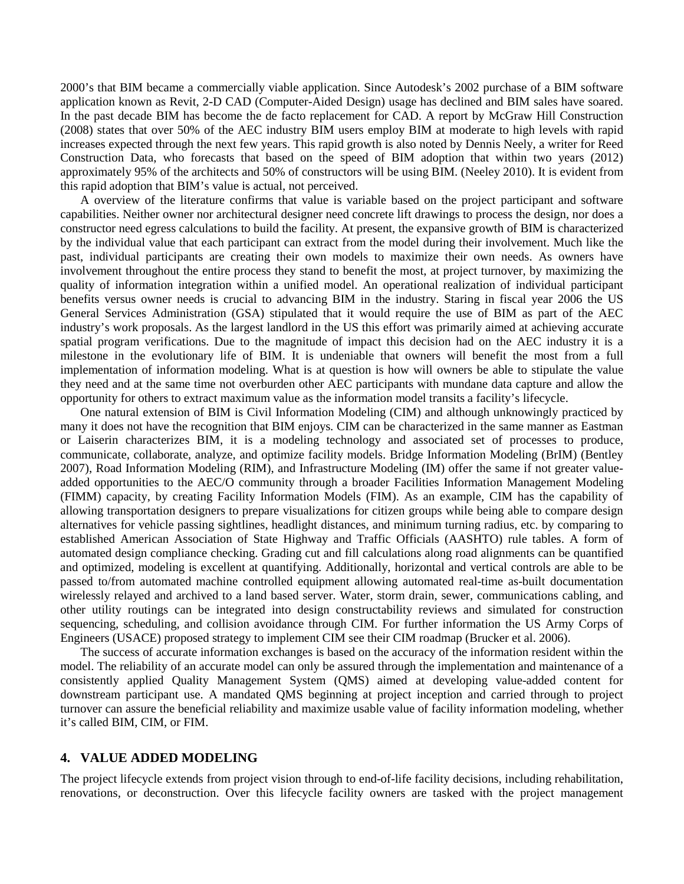2000's that BIM became a commercially viable application. Since Autodesk's 2002 purchase of a BIM software application known as Revit, 2-D CAD (Computer-Aided Design) usage has declined and BIM sales have soared. In the past decade BIM has become the de facto replacement for CAD. A report by McGraw Hill Construction (2008) states that over 50% of the AEC industry BIM users employ BIM at moderate to high levels with rapid increases expected through the next few years. This rapid growth is also noted by Dennis Neely, a writer for Reed Construction Data, who forecasts that based on the speed of BIM adoption that within two years (2012) approximately 95% of the architects and 50% of constructors will be using BIM. (Neeley 2010). It is evident from this rapid adoption that BIM's value is actual, not perceived.

A overview of the literature confirms that value is variable based on the project participant and software capabilities. Neither owner nor architectural designer need concrete lift drawings to process the design, nor does a constructor need egress calculations to build the facility. At present, the expansive growth of BIM is characterized by the individual value that each participant can extract from the model during their involvement. Much like the past, individual participants are creating their own models to maximize their own needs. As owners have involvement throughout the entire process they stand to benefit the most, at project turnover, by maximizing the quality of information integration within a unified model. An operational realization of individual participant benefits versus owner needs is crucial to advancing BIM in the industry. Staring in fiscal year 2006 the US General Services Administration (GSA) stipulated that it would require the use of BIM as part of the AEC industry's work proposals. As the largest landlord in the US this effort was primarily aimed at achieving accurate spatial program verifications. Due to the magnitude of impact this decision had on the AEC industry it is a milestone in the evolutionary life of BIM. It is undeniable that owners will benefit the most from a full implementation of information modeling. What is at question is how will owners be able to stipulate the value they need and at the same time not overburden other AEC participants with mundane data capture and allow the opportunity for others to extract maximum value as the information model transits a facility's lifecycle.

One natural extension of BIM is Civil Information Modeling (CIM) and although unknowingly practiced by many it does not have the recognition that BIM enjoys. CIM can be characterized in the same manner as Eastman or Laiserin characterizes BIM, it is a modeling technology and associated set of processes to produce, communicate, collaborate, analyze, and optimize facility models. Bridge Information Modeling (BrIM) (Bentley 2007), Road Information Modeling (RIM), and Infrastructure Modeling (IM) offer the same if not greater valueadded opportunities to the AEC/O community through a broader Facilities Information Management Modeling (FIMM) capacity, by creating Facility Information Models (FIM). As an example, CIM has the capability of allowing transportation designers to prepare visualizations for citizen groups while being able to compare design alternatives for vehicle passing sightlines, headlight distances, and minimum turning radius, etc. by comparing to established American Association of State Highway and Traffic Officials (AASHTO) rule tables. A form of automated design compliance checking. Grading cut and fill calculations along road alignments can be quantified and optimized, modeling is excellent at quantifying. Additionally, horizontal and vertical controls are able to be passed to/from automated machine controlled equipment allowing automated real-time as-built documentation wirelessly relayed and archived to a land based server. Water, storm drain, sewer, communications cabling, and other utility routings can be integrated into design constructability reviews and simulated for construction sequencing, scheduling, and collision avoidance through CIM. For further information the US Army Corps of Engineers (USACE) proposed strategy to implement CIM see their CIM roadmap (Brucker et al. 2006).

The success of accurate information exchanges is based on the accuracy of the information resident within the model. The reliability of an accurate model can only be assured through the implementation and maintenance of a consistently applied Quality Management System (QMS) aimed at developing value-added content for downstream participant use. A mandated QMS beginning at project inception and carried through to project turnover can assure the beneficial reliability and maximize usable value of facility information modeling, whether it's called BIM, CIM, or FIM.

## **4. VALUE ADDED MODELING**

The project lifecycle extends from project vision through to end-of-life facility decisions, including rehabilitation, renovations, or deconstruction. Over this lifecycle facility owners are tasked with the project management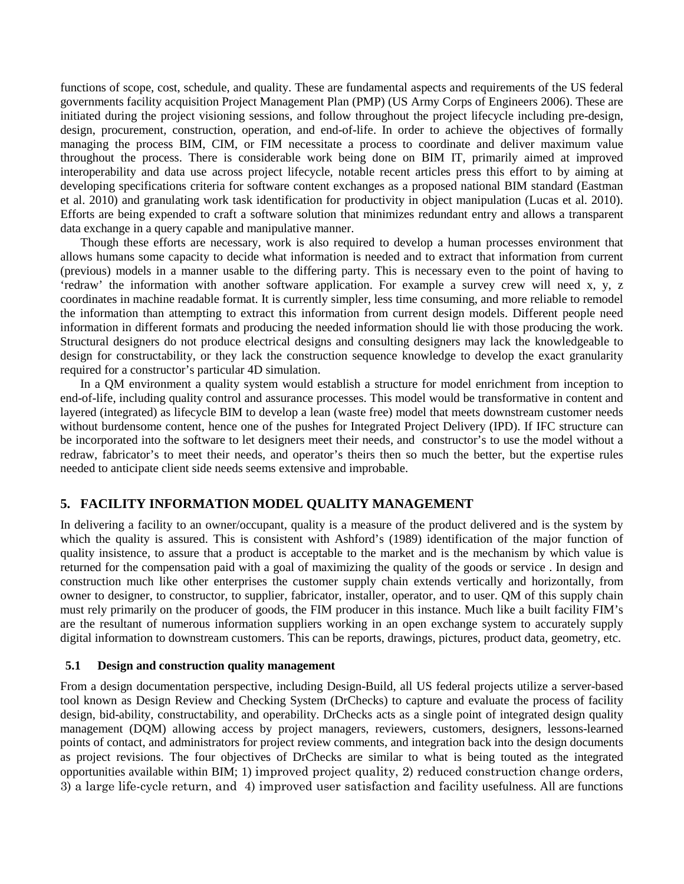functions of scope, cost, schedule, and quality. These are fundamental aspects and requirements of the US federal governments facility acquisition Project Management Plan (PMP) (US Army Corps of Engineers 2006). These are initiated during the project visioning sessions, and follow throughout the project lifecycle including pre-design, design, procurement, construction, operation, and end-of-life. In order to achieve the objectives of formally managing the process BIM, CIM, or FIM necessitate a process to coordinate and deliver maximum value throughout the process. There is considerable work being done on BIM IT, primarily aimed at improved interoperability and data use across project lifecycle, notable recent articles press this effort to by aiming at developing specifications criteria for software content exchanges as a proposed national BIM standard (Eastman et al. 2010) and granulating work task identification for productivity in object manipulation (Lucas et al. 2010). Efforts are being expended to craft a software solution that minimizes redundant entry and allows a transparent data exchange in a query capable and manipulative manner.

Though these efforts are necessary, work is also required to develop a human processes environment that allows humans some capacity to decide what information is needed and to extract that information from current (previous) models in a manner usable to the differing party. This is necessary even to the point of having to 'redraw' the information with another software application. For example a survey crew will need x, y, z coordinates in machine readable format. It is currently simpler, less time consuming, and more reliable to remodel the information than attempting to extract this information from current design models. Different people need information in different formats and producing the needed information should lie with those producing the work. Structural designers do not produce electrical designs and consulting designers may lack the knowledgeable to design for constructability, or they lack the construction sequence knowledge to develop the exact granularity required for a constructor's particular 4D simulation.

In a QM environment a quality system would establish a structure for model enrichment from inception to end-of-life, including quality control and assurance processes. This model would be transformative in content and layered (integrated) as lifecycle BIM to develop a lean (waste free) model that meets downstream customer needs without burdensome content, hence one of the pushes for Integrated Project Delivery (IPD). If IFC structure can be incorporated into the software to let designers meet their needs, and constructor's to use the model without a redraw, fabricator's to meet their needs, and operator's theirs then so much the better, but the expertise rules needed to anticipate client side needs seems extensive and improbable.

## **5. FACILITY INFORMATION MODEL QUALITY MANAGEMENT**

In delivering a facility to an owner/occupant, quality is a measure of the product delivered and is the system by which the quality is assured. This is consistent with Ashford's (1989) identification of the major function of quality insistence, to assure that a product is acceptable to the market and is the mechanism by which value is returned for the compensation paid with a goal of maximizing the quality of the goods or service . In design and construction much like other enterprises the customer supply chain extends vertically and horizontally, from owner to designer, to constructor, to supplier, fabricator, installer, operator, and to user. QM of this supply chain must rely primarily on the producer of goods, the FIM producer in this instance. Much like a built facility FIM's are the resultant of numerous information suppliers working in an open exchange system to accurately supply digital information to downstream customers. This can be reports, drawings, pictures, product data, geometry, etc.

## **5.1 Design and construction quality management**

From a design documentation perspective, including Design-Build, all US federal projects utilize a server-based tool known as Design Review and Checking System (DrChecks) to capture and evaluate the process of facility design, bid-ability, constructability, and operability. DrChecks acts as a single point of integrated design quality management (DQM) allowing access by project managers, reviewers, customers, designers, lessons-learned points of contact, and administrators for project review comments, and integration back into the design documents as project revisions. The four objectives of DrChecks are similar to what is being touted as the integrated opportunities available within BIM; 1) improved project quality, 2) reduced construction change orders, 3) a large life-cycle return, and 4) improved user satisfaction and facility usefulness. All are functions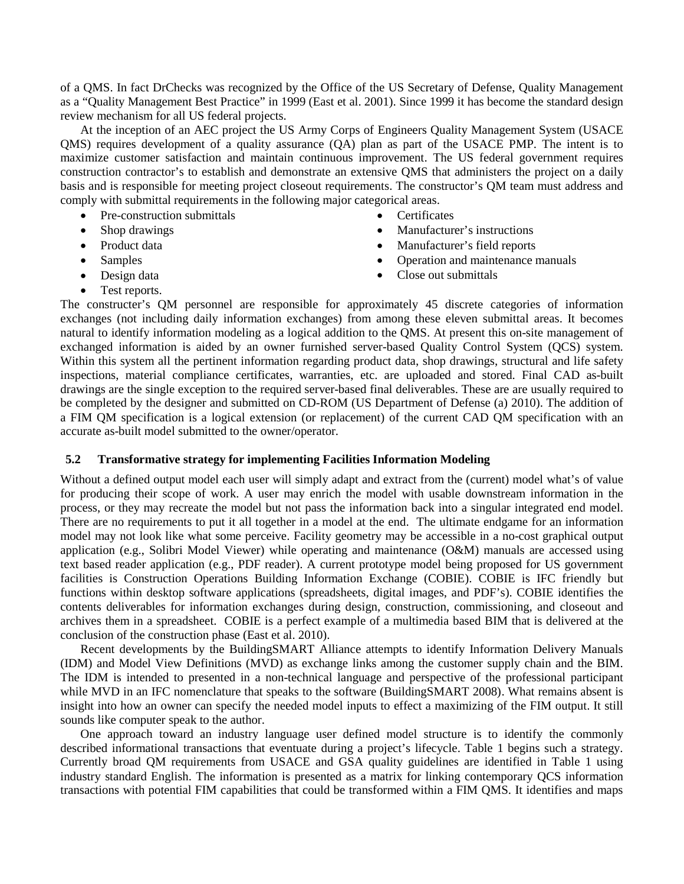of a QMS. In fact DrChecks was recognized by the Office of the US Secretary of Defense, Quality Management as a "Quality Management Best Practice" in 1999 (East et al. 2001). Since 1999 it has become the standard design review mechanism for all US federal projects.

At the inception of an AEC project the US Army Corps of Engineers Quality Management System (USACE QMS) requires development of a quality assurance (QA) plan as part of the USACE PMP. The intent is to maximize customer satisfaction and maintain continuous improvement. The US federal government requires construction contractor's to establish and demonstrate an extensive QMS that administers the project on a daily basis and is responsible for meeting project closeout requirements. The constructor's QM team must address and comply with submittal requirements in the following major categorical areas.

- Pre-construction submittals
- Shop drawings
- Product data
- Samples
- Design data
- Certificates
- Manufacturer's instructions
- Manufacturer's field reports
- Operation and maintenance manuals
- Close out submittals

• Test reports.

The constructer's QM personnel are responsible for approximately 45 discrete categories of information exchanges (not including daily information exchanges) from among these eleven submittal areas. It becomes natural to identify information modeling as a logical addition to the QMS. At present this on-site management of exchanged information is aided by an owner furnished server-based Quality Control System (QCS) system. Within this system all the pertinent information regarding product data, shop drawings, structural and life safety inspections, material compliance certificates, warranties, etc. are uploaded and stored. Final CAD as-built drawings are the single exception to the required server-based final deliverables. These are are usually required to be completed by the designer and submitted on CD-ROM (US Department of Defense (a) 2010). The addition of a FIM QM specification is a logical extension (or replacement) of the current CAD QM specification with an accurate as-built model submitted to the owner/operator.

#### **5.2 Transformative strategy for implementing Facilities Information Modeling**

Without a defined output model each user will simply adapt and extract from the (current) model what's of value for producing their scope of work. A user may enrich the model with usable downstream information in the process, or they may recreate the model but not pass the information back into a singular integrated end model. There are no requirements to put it all together in a model at the end. The ultimate endgame for an information model may not look like what some perceive. Facility geometry may be accessible in a no-cost graphical output application (e.g., Solibri Model Viewer) while operating and maintenance (O&M) manuals are accessed using text based reader application (e.g., PDF reader). A current prototype model being proposed for US government facilities is Construction Operations Building Information Exchange (COBIE). COBIE is IFC friendly but functions within desktop software applications (spreadsheets, digital images, and PDF's). COBIE identifies the contents deliverables for information exchanges during design, construction, commissioning, and closeout and archives them in a spreadsheet. COBIE is a perfect example of a multimedia based BIM that is delivered at the conclusion of the construction phase (East et al. 2010).

Recent developments by the BuildingSMART Alliance attempts to identify Information Delivery Manuals (IDM) and Model View Definitions (MVD) as exchange links among the customer supply chain and the BIM. The IDM is intended to presented in a non-technical language and perspective of the professional participant while MVD in an IFC nomenclature that speaks to the software (BuildingSMART 2008). What remains absent is insight into how an owner can specify the needed model inputs to effect a maximizing of the FIM output. It still sounds like computer speak to the author.

One approach toward an industry language user defined model structure is to identify the commonly described informational transactions that eventuate during a project's lifecycle. Table 1 begins such a strategy. Currently broad QM requirements from USACE and GSA quality guidelines are identified in Table 1 using industry standard English. The information is presented as a matrix for linking contemporary QCS information transactions with potential FIM capabilities that could be transformed within a FIM QMS. It identifies and maps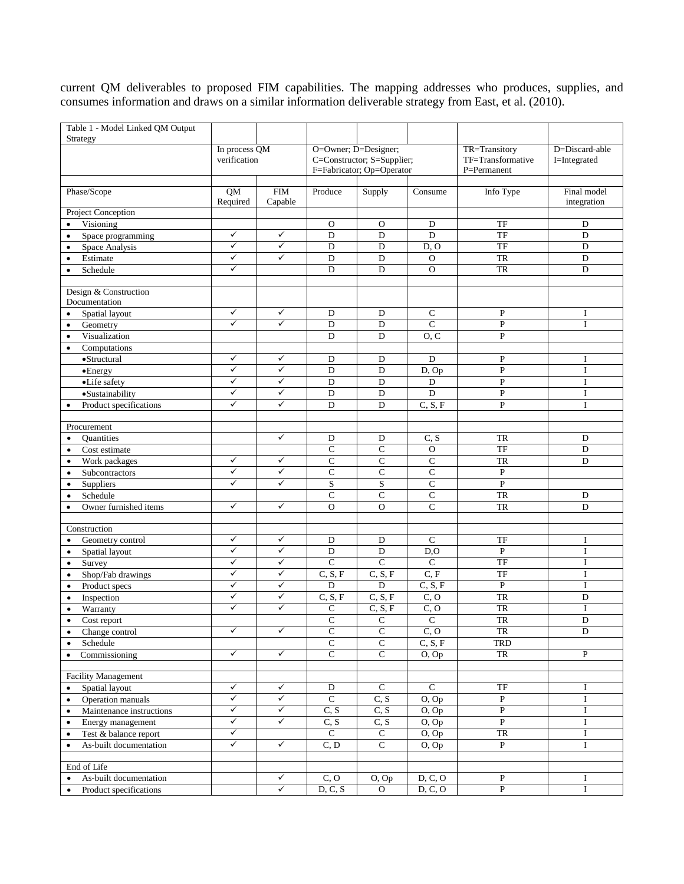current QM deliverables to proposed FIM capabilities. The mapping addresses who produces, supplies, and consumes information and draws on a similar information deliverable strategy from East, et al. (2010).

|                                        | Table 1 - Model Linked QM Output<br>Strategy |                               |                |                                                                                 |                       |                     |                                                   |                                |
|----------------------------------------|----------------------------------------------|-------------------------------|----------------|---------------------------------------------------------------------------------|-----------------------|---------------------|---------------------------------------------------|--------------------------------|
|                                        |                                              | In process QM<br>verification |                | O=Owner; D=Designer;<br>C=Constructor; S=Supplier;<br>F=Fabricator; Op=Operator |                       |                     | TR=Transitory<br>TF=Transformative<br>P=Permanent | D=Discard-able<br>I=Integrated |
| Phase/Scope                            |                                              | QM<br>Required                | FIM<br>Capable | Produce                                                                         | Supply                | Consume             | Info Type                                         | Final model<br>integration     |
|                                        | <b>Project Conception</b>                    |                               |                |                                                                                 |                       |                     |                                                   |                                |
| $\bullet$                              | Visioning                                    |                               |                | $\mathcal{O}$                                                                   | $\mathbf{O}$          | D                   | TF                                                | D                              |
| $\bullet$                              | Space programming                            | ✓                             | $\checkmark$   | $\mathbf D$                                                                     | D                     | $\overline{D}$      | TF                                                | D                              |
| $\bullet$                              | Space Analysis                               | $\checkmark$                  | ✓              | $\mathbf D$                                                                     | $\mathbf D$           | D, O                | TF                                                | $\mathbf D$                    |
| $\bullet$                              | Estimate                                     | ✓                             | $\checkmark$   | $\overline{D}$                                                                  | D                     | $\mathbf O$         | <b>TR</b>                                         | $\mathbf D$                    |
| $\bullet$                              | Schedule                                     | ✓                             |                | $\mathbf D$                                                                     | D                     | $\mathbf O$         | ${\rm TR}$                                        | $\mathbf D$                    |
| Design & Construction<br>Documentation |                                              | ✓                             | $\checkmark$   | D                                                                               | D                     | $\mathsf{C}$        | ${\bf P}$                                         | I                              |
| $\bullet$                              | Spatial layout                               | $\checkmark$                  | $\checkmark$   |                                                                                 |                       | $\mathbf C$         |                                                   | $\mathbf{I}$                   |
| $\bullet$                              | Geometry<br>Visualization                    |                               |                | D<br>$\mathbf D$                                                                | D<br>D                | O, C                | ${\bf P}$<br>${\bf P}$                            |                                |
| $\bullet$<br>$\bullet$                 |                                              |                               |                |                                                                                 |                       |                     |                                                   |                                |
|                                        | Computations<br>•Structural                  | ✓                             | ✓              | D                                                                               | D                     | $\mathbf D$         | ${\bf P}$                                         | I                              |
|                                        | •Energy                                      | ✓                             | $\checkmark$   | D                                                                               | D                     | D, Op               | ${\bf P}$                                         | $\mathbf I$                    |
|                                        | •Life safety                                 | ✓                             | $\checkmark$   | $\mathbf D$                                                                     | ${\rm D}$             | $\mathbf D$         | ${\bf P}$                                         | I                              |
|                                        | ·Sustainability                              | $\checkmark$                  | ✓              | D                                                                               | D                     | D                   | $\overline{P}$                                    | $\bf I$                        |
| $\bullet$                              | Product specifications                       | $\checkmark$                  | $\checkmark$   | $\mathbf D$                                                                     | D                     | C, S, F             | $\mathbf{P}$                                      | $\mathbf I$                    |
|                                        |                                              |                               |                |                                                                                 |                       |                     |                                                   |                                |
|                                        | Procurement                                  |                               |                |                                                                                 |                       |                     |                                                   |                                |
| $\bullet$                              | Quantities                                   |                               | $\checkmark$   | $\mathbf D$                                                                     | $\mathbf D$           | C, S                | <b>TR</b>                                         | $\mathbf D$                    |
| $\bullet$                              | Cost estimate                                |                               |                | C                                                                               | $\mathbf C$           | $\mathcal{O}$       | TF                                                | D                              |
| $\bullet$                              | Work packages                                | ✓                             | ✓              | $\mathsf{C}$                                                                    | $\overline{C}$        | $\overline{C}$      | <b>TR</b>                                         | D                              |
| $\bullet$                              | Subcontractors                               | ✓                             | $\checkmark$   | $\overline{C}$                                                                  | $\overline{C}$        | $\mathbf C$         | ${\bf P}$                                         |                                |
| $\bullet$                              | Suppliers                                    | ✓                             | ✓              | $\mathbf S$                                                                     | S                     | $\mathsf{C}$        | $\mathbf{P}$                                      |                                |
| $\bullet$                              | Schedule                                     |                               |                | $\mathsf{C}$                                                                    | $\mathsf{C}$          | $\mathsf{C}$        | TR                                                | D                              |
| $\bullet$                              | Owner furnished items                        | ✓                             | $\checkmark$   | $\overline{O}$                                                                  | $\overline{O}$        | $\overline{C}$      | <b>TR</b>                                         | D                              |
|                                        |                                              |                               |                |                                                                                 |                       |                     |                                                   |                                |
|                                        | Construction                                 | ✓                             | $\checkmark$   |                                                                                 |                       |                     |                                                   |                                |
| $\bullet$                              | Geometry control                             | ✓                             | $\checkmark$   | D<br>$\mathbf D$                                                                | D<br>$\mathbf D$      | $\mathsf{C}$        | TF<br>${\bf P}$                                   | I<br>$\mathbf I$               |
| $\bullet$                              | Spatial layout                               | ✓                             | $\checkmark$   | $\overline{C}$                                                                  | $\overline{C}$        | D, O<br>$\mathbf C$ | $\overline{\text{TF}}$                            |                                |
| $\bullet$                              | Survey<br>Shop/Fab drawings                  | $\checkmark$                  | $\checkmark$   | C, S, F                                                                         | C, S, F               | $\overline{C, F}$   | <b>TF</b>                                         | I<br>$\mathbf I$               |
| $\bullet$<br>$\bullet$                 | Product specs                                | ✓                             | $\checkmark$   | D                                                                               | $\mathbf D$           | C, S, F             | $\mathbf{P}$                                      | I                              |
| $\bullet$                              | Inspection                                   | ✓                             | $\checkmark$   | C, S, F                                                                         | C, S, F               | C, O                | TR                                                | D                              |
| $\bullet$                              | Warranty                                     | ✓                             | $\checkmark$   | $\mathsf{C}$                                                                    | C, S, F               | C, O                | TR                                                | $\bf I$                        |
|                                        | Cost report                                  |                               |                | $\overline{C}$                                                                  | ${\bf C}$             | $\overline{C}$      | $\overline{\text{TR}}$                            | ${\rm D}$                      |
| $\bullet$                              | Change control                               | ✓                             | $\checkmark$   | $\overline{C}$                                                                  | $\overline{C}$        | $\overline{C, O}$   | TR                                                | D                              |
| $\bullet$                              | Schedule                                     |                               |                | ${\bf C}$                                                                       | ${\bf C}$             | C, S, F             | TRD                                               |                                |
| $\bullet$                              | Commissioning                                | $\checkmark$                  | $\checkmark$   | $\mathbf C$                                                                     | $\mathbf C$           | O, Op               | TR                                                | $\mathbf{P}$                   |
|                                        |                                              |                               |                |                                                                                 |                       |                     |                                                   |                                |
|                                        | <b>Facility Management</b>                   |                               |                |                                                                                 |                       |                     |                                                   |                                |
| $\bullet$                              | Spatial layout                               | ✓                             | $\checkmark$   | $\mathbf D$                                                                     | $\mathbf C$           | $\mathbf C$         | $\ensuremath{\mathsf{T}}\ensuremath{\mathsf{F}}$  | $\bf{I}$                       |
| $\bullet$                              | Operation manuals                            | ✓                             | $\checkmark$   | $\overline{C}$                                                                  | C, S                  | O, Op               | $\, {\bf P}$                                      | $\mathbf I$                    |
| $\bullet$                              | Maintenance instructions                     | ✓                             | ✓              | C, S                                                                            | C, S                  | O, Op               | $\, {\bf P}$                                      | I                              |
| $\bullet$                              | Energy management                            | $\checkmark$                  | $\checkmark$   | C, S                                                                            | C, S                  | O, Op               | $\overline{P}$                                    | $\bf{I}$                       |
| $\bullet$                              | Test & balance report                        | $\checkmark$                  |                | $\overline{C}$                                                                  | ${\bf C}$             | O, Op               | ${\rm TR}$                                        | $\bf I$                        |
| $\bullet$                              | As-built documentation                       | ✓                             | $\checkmark$   | C, D                                                                            | $\mathbf C$           | O, Op               | P                                                 | $\bf{I}$                       |
|                                        |                                              |                               |                |                                                                                 |                       |                     |                                                   |                                |
|                                        | End of Life                                  |                               | $\checkmark$   |                                                                                 |                       |                     | $\, {\bf P}$                                      |                                |
| $\bullet$                              | As-built documentation                       |                               | $\checkmark$   | C, O<br>D, C, S                                                                 | O, Op<br>$\mathbf{O}$ | D, C, O<br>D, C, O  | $\overline{P}$                                    | $\bf{I}$<br>$\mathbf I$        |
| $\bullet$                              | Product specifications                       |                               |                |                                                                                 |                       |                     |                                                   |                                |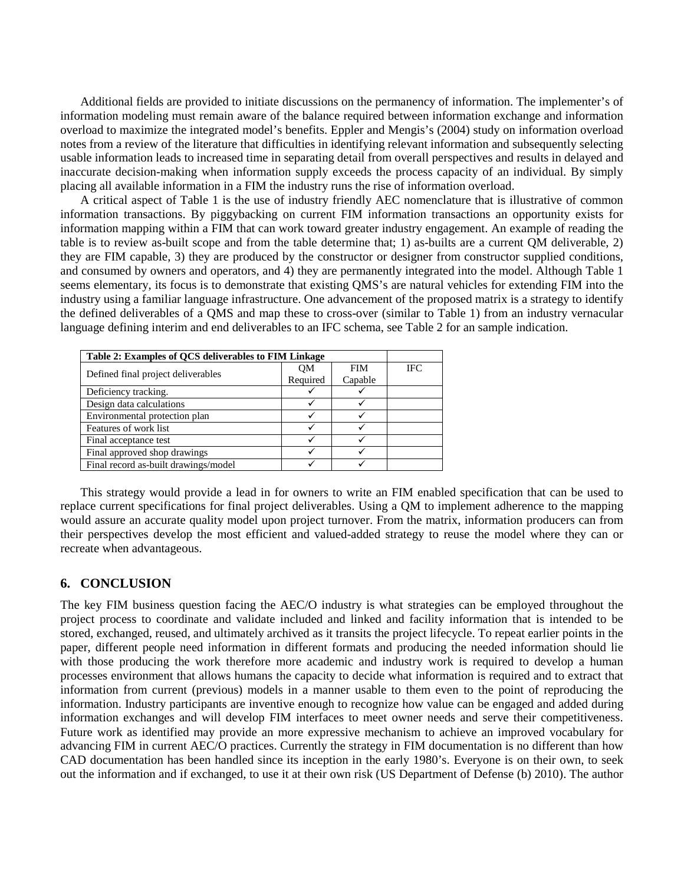Additional fields are provided to initiate discussions on the permanency of information. The implementer's of information modeling must remain aware of the balance required between information exchange and information overload to maximize the integrated model's benefits. Eppler and Mengis's (2004) study on information overload notes from a review of the literature that difficulties in identifying relevant information and subsequently selecting usable information leads to increased time in separating detail from overall perspectives and results in delayed and inaccurate decision-making when information supply exceeds the process capacity of an individual. By simply placing all available information in a FIM the industry runs the rise of information overload.

A critical aspect of Table 1 is the use of industry friendly AEC nomenclature that is illustrative of common information transactions. By piggybacking on current FIM information transactions an opportunity exists for information mapping within a FIM that can work toward greater industry engagement. An example of reading the table is to review as-built scope and from the table determine that; 1) as-builts are a current QM deliverable, 2) they are FIM capable, 3) they are produced by the constructor or designer from constructor supplied conditions, and consumed by owners and operators, and 4) they are permanently integrated into the model. Although Table 1 seems elementary, its focus is to demonstrate that existing QMS's are natural vehicles for extending FIM into the industry using a familiar language infrastructure. One advancement of the proposed matrix is a strategy to identify the defined deliverables of a QMS and map these to cross-over (similar to Table 1) from an industry vernacular language defining interim and end deliverables to an IFC schema, see Table 2 for an sample indication.

| Table 2: Examples of QCS deliverables to FIM Linkage |          |            |     |
|------------------------------------------------------|----------|------------|-----|
| Defined final project deliverables                   | OМ       | <b>FIM</b> | IFC |
|                                                      | Required | Capable    |     |
| Deficiency tracking.                                 |          |            |     |
| Design data calculations                             |          |            |     |
| Environmental protection plan                        |          |            |     |
| Features of work list                                |          |            |     |
| Final acceptance test                                |          |            |     |
| Final approved shop drawings                         |          |            |     |
| Final record as-built drawings/model                 |          |            |     |

This strategy would provide a lead in for owners to write an FIM enabled specification that can be used to replace current specifications for final project deliverables. Using a QM to implement adherence to the mapping would assure an accurate quality model upon project turnover. From the matrix, information producers can from their perspectives develop the most efficient and valued-added strategy to reuse the model where they can or recreate when advantageous.

## **6. CONCLUSION**

The key FIM business question facing the AEC/O industry is what strategies can be employed throughout the project process to coordinate and validate included and linked and facility information that is intended to be stored, exchanged, reused, and ultimately archived as it transits the project lifecycle. To repeat earlier points in the paper, different people need information in different formats and producing the needed information should lie with those producing the work therefore more academic and industry work is required to develop a human processes environment that allows humans the capacity to decide what information is required and to extract that information from current (previous) models in a manner usable to them even to the point of reproducing the information. Industry participants are inventive enough to recognize how value can be engaged and added during information exchanges and will develop FIM interfaces to meet owner needs and serve their competitiveness. Future work as identified may provide an more expressive mechanism to achieve an improved vocabulary for advancing FIM in current AEC/O practices. Currently the strategy in FIM documentation is no different than how CAD documentation has been handled since its inception in the early 1980's. Everyone is on their own, to seek out the information and if exchanged, to use it at their own risk (US Department of Defense (b) 2010). The author